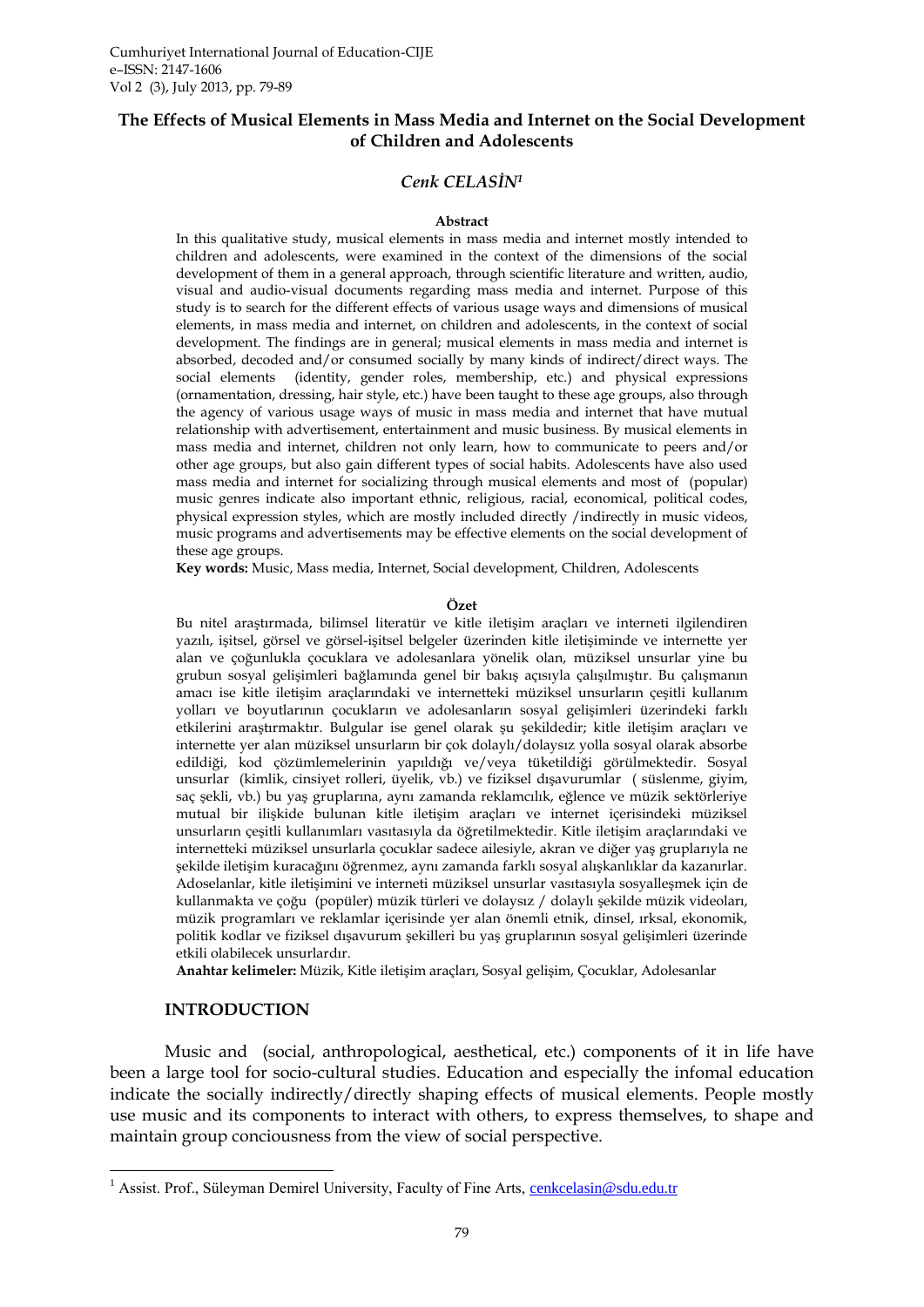### **The Effects of Musical Elements in Mass Media and Internet on the Social Development of Children and Adolescents**

### *Cenk CELASİN<sup>1</sup>*

#### **Abstract**

In this qualitative study, musical elements in mass media and internet mostly intended to children and adolescents, were examined in the context of the dimensions of the social development of them in a general approach, through scientific literature and written, audio, visual and audio-visual documents regarding mass media and internet. Purpose of this study is to search for the different effects of various usage ways and dimensions of musical elements, in mass media and internet, on children and adolescents, in the context of social development. The findings are in general; musical elements in mass media and internet is absorbed, decoded and/or consumed socially by many kinds of indirect/direct ways. The social elements (identity, gender roles, membership, etc.) and physical expressions (ornamentation, dressing, hair style, etc.) have been taught to these age groups, also through the agency of various usage ways of music in mass media and internet that have mutual relationship with advertisement, entertainment and music business. By musical elements in mass media and internet, children not only learn, how to communicate to peers and/or other age groups, but also gain different types of social habits. Adolescents have also used mass media and internet for socializing through musical elements and most of (popular) music genres indicate also important ethnic, religious, racial, economical, political codes, physical expression styles, which are mostly included directly /indirectly in music videos, music programs and advertisements may be effective elements on the social development of these age groups.

**Key words:** Music, Mass media, Internet, Social development, Children, Adolescents

#### **Özet**

Bu nitel araştırmada, bilimsel literatür ve kitle iletişim araçları ve interneti ilgilendiren yazılı, işitsel, görsel ve görsel-işitsel belgeler üzerinden kitle iletişiminde ve internette yer alan ve çoğunlukla çocuklara ve adolesanlara yönelik olan, müziksel unsurlar yine bu grubun sosyal gelişimleri bağlamında genel bir bakış açısıyla çalışılmıştır. Bu çalışmanın amacı ise kitle iletişim araçlarındaki ve internetteki müziksel unsurların çeşitli kullanım yolları ve boyutlarının çocukların ve adolesanların sosyal gelişimleri üzerindeki farklı etkilerini araştırmaktır. Bulgular ise genel olarak şu şekildedir; kitle iletişim araçları ve internette yer alan müziksel unsurların bir çok dolaylı/dolaysız yolla sosyal olarak absorbe edildiği, kod çözümlemelerinin yapıldığı ve/veya tüketildiği görülmektedir. Sosyal unsurlar (kimlik, cinsiyet rolleri, üyelik, vb.) ve fiziksel dışavurumlar ( süslenme, giyim, saç şekli, vb.) bu yaş gruplarına, aynı zamanda reklamcılık, eğlence ve müzik sektörleriye mutual bir ilişkide bulunan kitle iletişim araçları ve internet içerisindeki müziksel unsurların çeşitli kullanımları vasıtasıyla da öğretilmektedir. Kitle iletişim araçlarındaki ve internetteki müziksel unsurlarla çocuklar sadece ailesiyle, akran ve diğer yaş gruplarıyla ne şekilde iletişim kuracağını öğrenmez, aynı zamanda farklı sosyal alışkanlıklar da kazanırlar. Adoselanlar, kitle iletişimini ve interneti müziksel unsurlar vasıtasıyla sosyalleşmek için de kullanmakta ve çoğu (popüler) müzik türleri ve dolaysız / dolaylı şekilde müzik videoları, müzik programları ve reklamlar içerisinde yer alan önemli etnik, dinsel, ırksal, ekonomik, politik kodlar ve fiziksel dışavurum şekilleri bu yaş gruplarının sosyal gelişimleri üzerinde etkili olabilecek unsurlardır.

**Anahtar kelimeler:** Müzik, Kitle iletişim araçları, Sosyal gelişim, Çocuklar, Adolesanlar

#### **INTRODUCTION**

1

Music and (social, anthropological, aesthetical, etc.) components of it in life have been a large tool for socio-cultural studies. Education and especially the infomal education indicate the socially indirectly/directly shaping effects of musical elements. People mostly use music and its components to interact with others, to express themselves, to shape and maintain group conciousness from the view of social perspective.

<sup>&</sup>lt;sup>1</sup> Assist. Prof., Süleyman Demirel University, Faculty of Fine Arts, [cenkcelasin@sdu.edu.tr](mailto:cenkcelasin@sdu.edu.tr)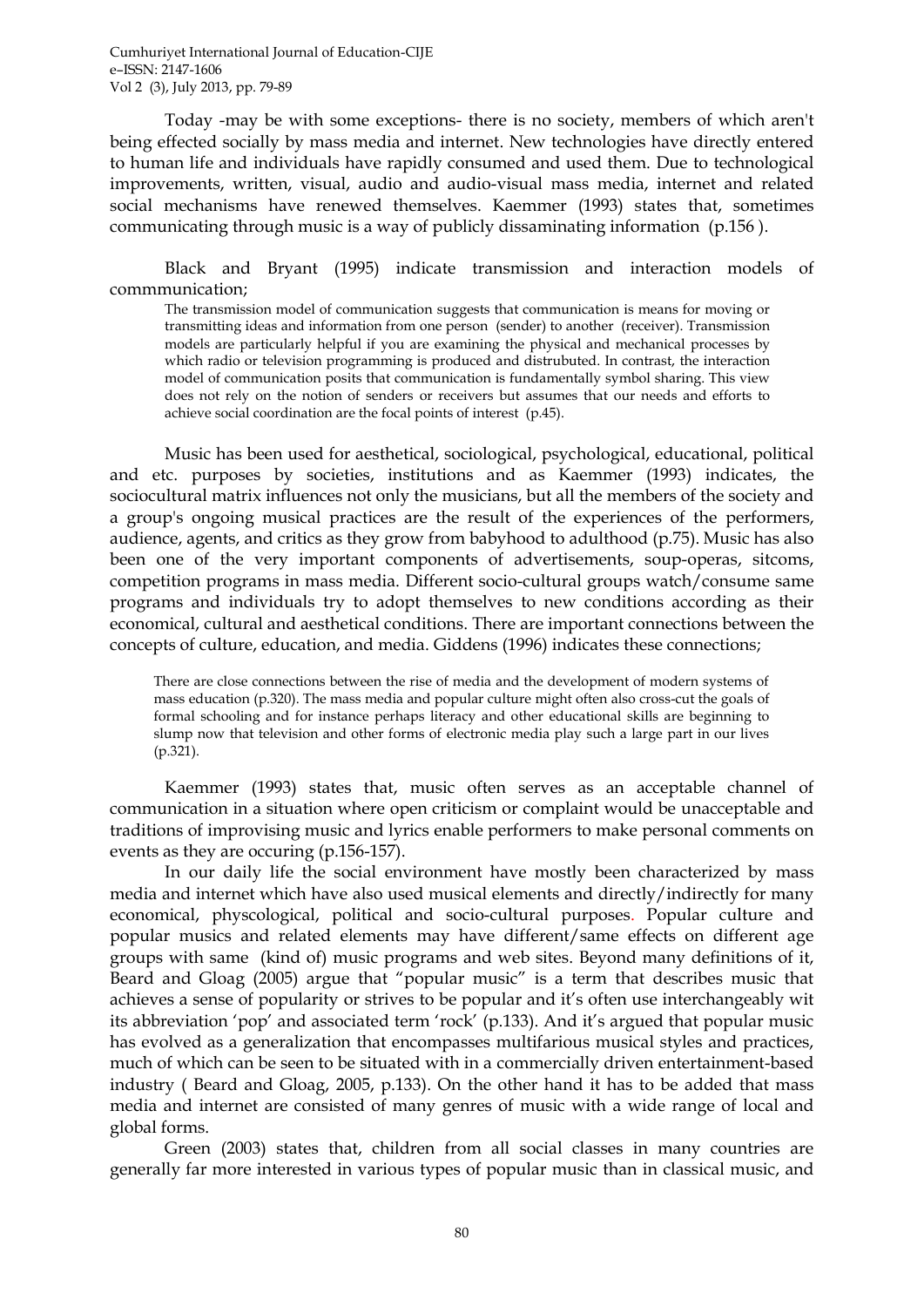Today -may be with some exceptions- there is no society, members of which aren't being effected socially by mass media and internet. New technologies have directly entered to human life and individuals have rapidly consumed and used them. Due to technological improvements, written, visual, audio and audio-visual mass media, internet and related social mechanisms have renewed themselves. Kaemmer (1993) states that, sometimes communicating through music is a way of publicly dissaminating information (p.156 ).

Black and Bryant (1995) indicate transmission and interaction models of commmunication;

The transmission model of communication suggests that communication is means for moving or transmitting ideas and information from one person (sender) to another (receiver). Transmission models are particularly helpful if you are examining the physical and mechanical processes by which radio or television programming is produced and distrubuted. In contrast, the interaction model of communication posits that communication is fundamentally symbol sharing. This view does not rely on the notion of senders or receivers but assumes that our needs and efforts to achieve social coordination are the focal points of interest (p.45).

Music has been used for aesthetical, sociological, psychological, educational, political and etc. purposes by societies, institutions and as Kaemmer (1993) indicates, the sociocultural matrix influences not only the musicians, but all the members of the society and a group's ongoing musical practices are the result of the experiences of the performers, audience, agents, and critics as they grow from babyhood to adulthood (p.75). Music has also been one of the very important components of advertisements, soup-operas, sitcoms, competition programs in mass media. Different socio-cultural groups watch/consume same programs and individuals try to adopt themselves to new conditions according as their economical, cultural and aesthetical conditions. There are important connections between the concepts of culture, education, and media. Giddens (1996) indicates these connections;

There are close connections between the rise of media and the development of modern systems of mass education (p.320). The mass media and popular culture might often also cross-cut the goals of formal schooling and for instance perhaps literacy and other educational skills are beginning to slump now that television and other forms of electronic media play such a large part in our lives (p.321).

Kaemmer (1993) states that, music often serves as an acceptable channel of communication in a situation where open criticism or complaint would be unacceptable and traditions of improvising music and lyrics enable performers to make personal comments on events as they are occuring (p.156-157).

In our daily life the social environment have mostly been characterized by mass media and internet which have also used musical elements and directly/indirectly for many economical, physcological, political and socio-cultural purposes. Popular culture and popular musics and related elements may have different/same effects on different age groups with same (kind of) music programs and web sites. Beyond many definitions of it, Beard and Gloag (2005) argue that "popular music" is a term that describes music that achieves a sense of popularity or strives to be popular and it's often use interchangeably wit its abbreviation 'pop' and associated term 'rock' (p.133). And it's argued that popular music has evolved as a generalization that encompasses multifarious musical styles and practices, much of which can be seen to be situated with in a commercially driven entertainment-based industry ( Beard and Gloag, 2005, p.133). On the other hand it has to be added that mass media and internet are consisted of many genres of music with a wide range of local and global forms.

Green (2003) states that, children from all social classes in many countries are generally far more interested in various types of popular music than in classical music, and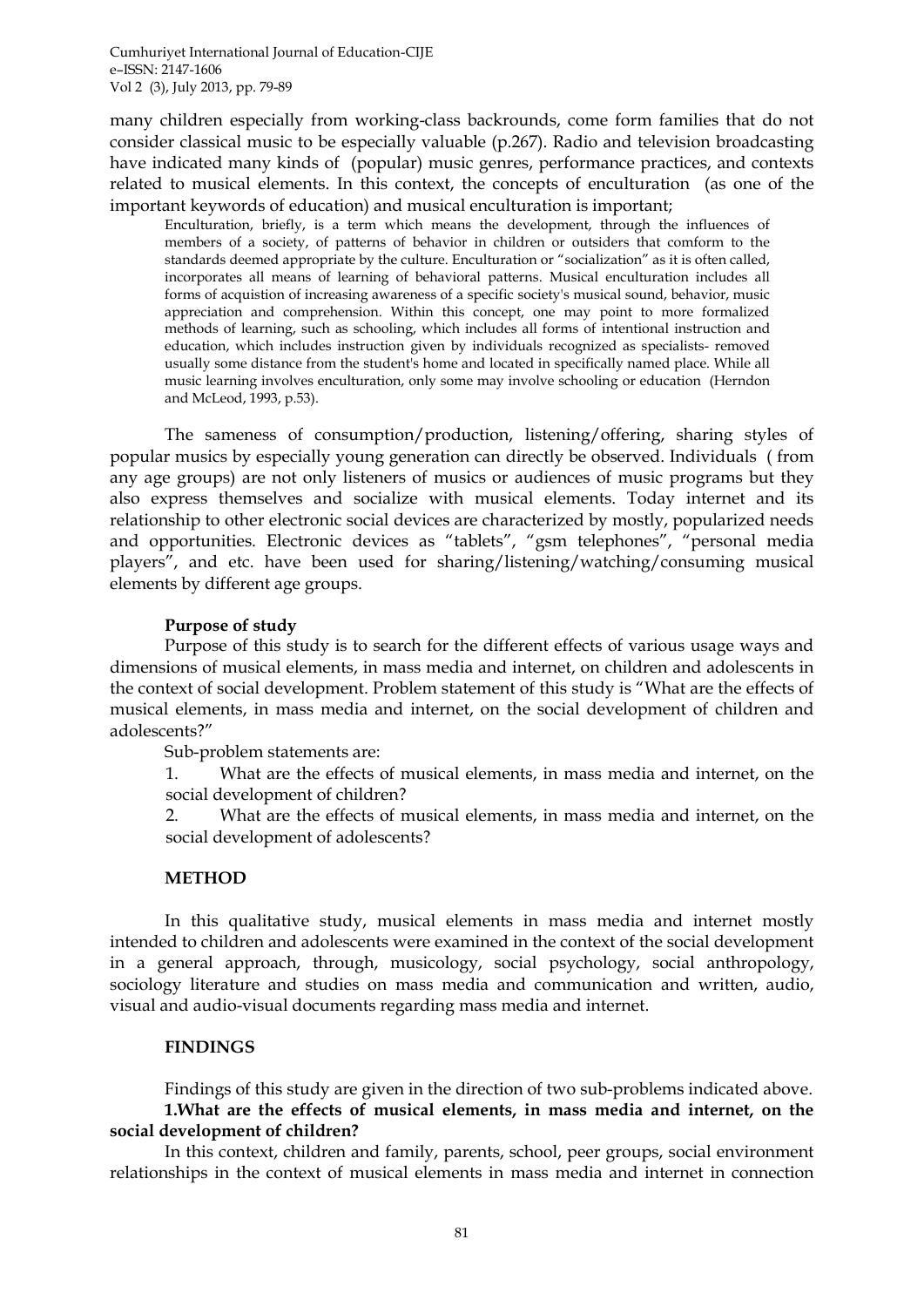many children especially from working-class backrounds, come form families that do not consider classical music to be especially valuable (p.267). Radio and television broadcasting have indicated many kinds of (popular) music genres, performance practices, and contexts related to musical elements. In this context, the concepts of enculturation (as one of the important keywords of education) and musical enculturation is important;

Enculturation, briefly, is a term which means the development, through the influences of members of a society, of patterns of behavior in children or outsiders that comform to the standards deemed appropriate by the culture. Enculturation or "socialization" as it is often called, incorporates all means of learning of behavioral patterns. Musical enculturation includes all forms of acquistion of increasing awareness of a specific society's musical sound, behavior, music appreciation and comprehension. Within this concept, one may point to more formalized methods of learning, such as schooling, which includes all forms of intentional instruction and education, which includes instruction given by individuals recognized as specialists- removed usually some distance from the student's home and located in specifically named place. While all music learning involves enculturation, only some may involve schooling or education (Herndon and McLeod, 1993, p.53).

The sameness of consumption/production, listening/offering, sharing styles of popular musics by especially young generation can directly be observed. Individuals ( from any age groups) are not only listeners of musics or audiences of music programs but they also express themselves and socialize with musical elements. Today internet and its relationship to other electronic social devices are characterized by mostly, popularized needs and opportunities. Electronic devices as "tablets", "gsm telephones", "personal media players", and etc. have been used for sharing/listening/watching/consuming musical elements by different age groups.

#### **Purpose of study**

Purpose of this study is to search for the different effects of various usage ways and dimensions of musical elements, in mass media and internet, on children and adolescents in the context of social development. Problem statement of this study is "What are the effects of musical elements, in mass media and internet, on the social development of children and adolescents?"

Sub-problem statements are:

1. What are the effects of musical elements, in mass media and internet, on the social development of children?

2. What are the effects of musical elements, in mass media and internet, on the social development of adolescents?

#### **METHOD**

In this qualitative study, musical elements in mass media and internet mostly intended to children and adolescents were examined in the context of the social development in a general approach, through, musicology, social psychology, social anthropology, sociology literature and studies on mass media and communication and written, audio, visual and audio-visual documents regarding mass media and internet.

### **FINDINGS**

Findings of this study are given in the direction of two sub-problems indicated above. **1.What are the effects of musical elements, in mass media and internet, on the social development of children?**

In this context, children and family, parents, school, peer groups, social environment relationships in the context of musical elements in mass media and internet in connection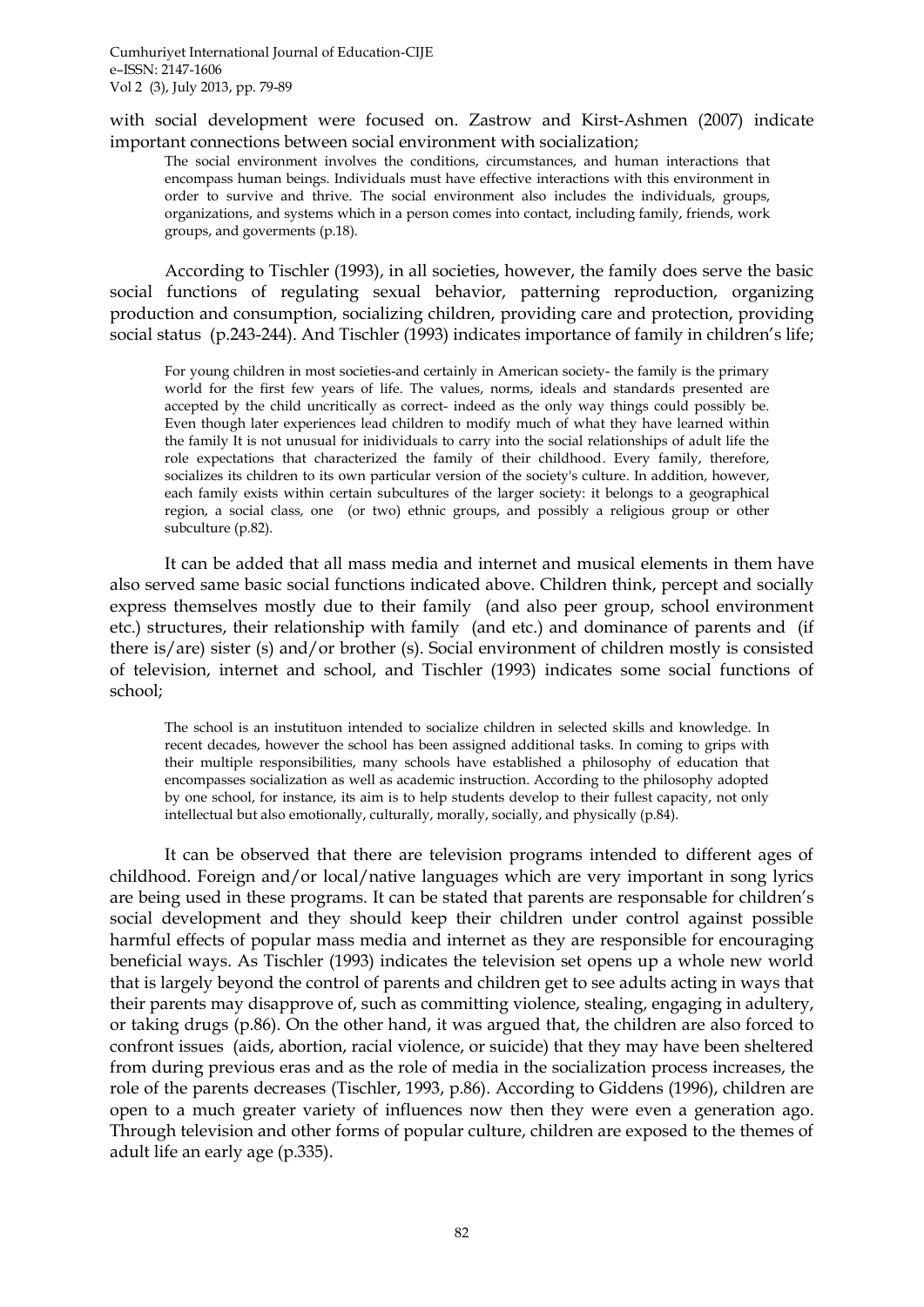with social development were focused on. Zastrow and Kirst-Ashmen (2007) indicate important connections between social environment with socialization;

The social environment involves the conditions, circumstances, and human interactions that encompass human beings. Individuals must have effective interactions with this environment in order to survive and thrive. The social environment also includes the individuals, groups, organizations, and systems which in a person comes into contact, including family, friends, work groups, and goverments (p.18).

According to Tischler (1993), in all societies, however, the family does serve the basic social functions of regulating sexual behavior, patterning reproduction, organizing production and consumption, socializing children, providing care and protection, providing social status (p.243-244). And Tischler (1993) indicates importance of family in children's life;

For young children in most societies-and certainly in American society- the family is the primary world for the first few years of life. The values, norms, ideals and standards presented are accepted by the child uncritically as correct- indeed as the only way things could possibly be. Even though later experiences lead children to modify much of what they have learned within the family It is not unusual for inidividuals to carry into the social relationships of adult life the role expectations that characterized the family of their childhood. Every family, therefore, socializes its children to its own particular version of the society's culture. In addition, however, each family exists within certain subcultures of the larger society: it belongs to a geographical region, a social class, one (or two) ethnic groups, and possibly a religious group or other subculture (p.82).

It can be added that all mass media and internet and musical elements in them have also served same basic social functions indicated above. Children think, percept and socially express themselves mostly due to their family (and also peer group, school environment etc.) structures, their relationship with family (and etc.) and dominance of parents and (if there is/are) sister (s) and/or brother (s). Social environment of children mostly is consisted of television, internet and school, and Tischler (1993) indicates some social functions of school;

The school is an instutituon intended to socialize children in selected skills and knowledge. In recent decades, however the school has been assigned additional tasks. In coming to grips with their multiple responsibilities, many schools have established a philosophy of education that encompasses socialization as well as academic instruction. According to the philosophy adopted by one school, for instance, its aim is to help students develop to their fullest capacity, not only intellectual but also emotionally, culturally, morally, socially, and physically (p.84).

It can be observed that there are television programs intended to different ages of childhood. Foreign and/or local/native languages which are very important in song lyrics are being used in these programs. It can be stated that parents are responsable for children"s social development and they should keep their children under control against possible harmful effects of popular mass media and internet as they are responsible for encouraging beneficial ways. As Tischler (1993) indicates the television set opens up a whole new world that is largely beyond the control of parents and children get to see adults acting in ways that their parents may disapprove of, such as committing violence, stealing, engaging in adultery, or taking drugs (p.86). On the other hand, it was argued that, the children are also forced to confront issues (aids, abortion, racial violence, or suicide) that they may have been sheltered from during previous eras and as the role of media in the socialization process increases, the role of the parents decreases (Tischler, 1993, p.86). According to Giddens (1996), children are open to a much greater variety of influences now then they were even a generation ago. Through television and other forms of popular culture, children are exposed to the themes of adult life an early age (p.335).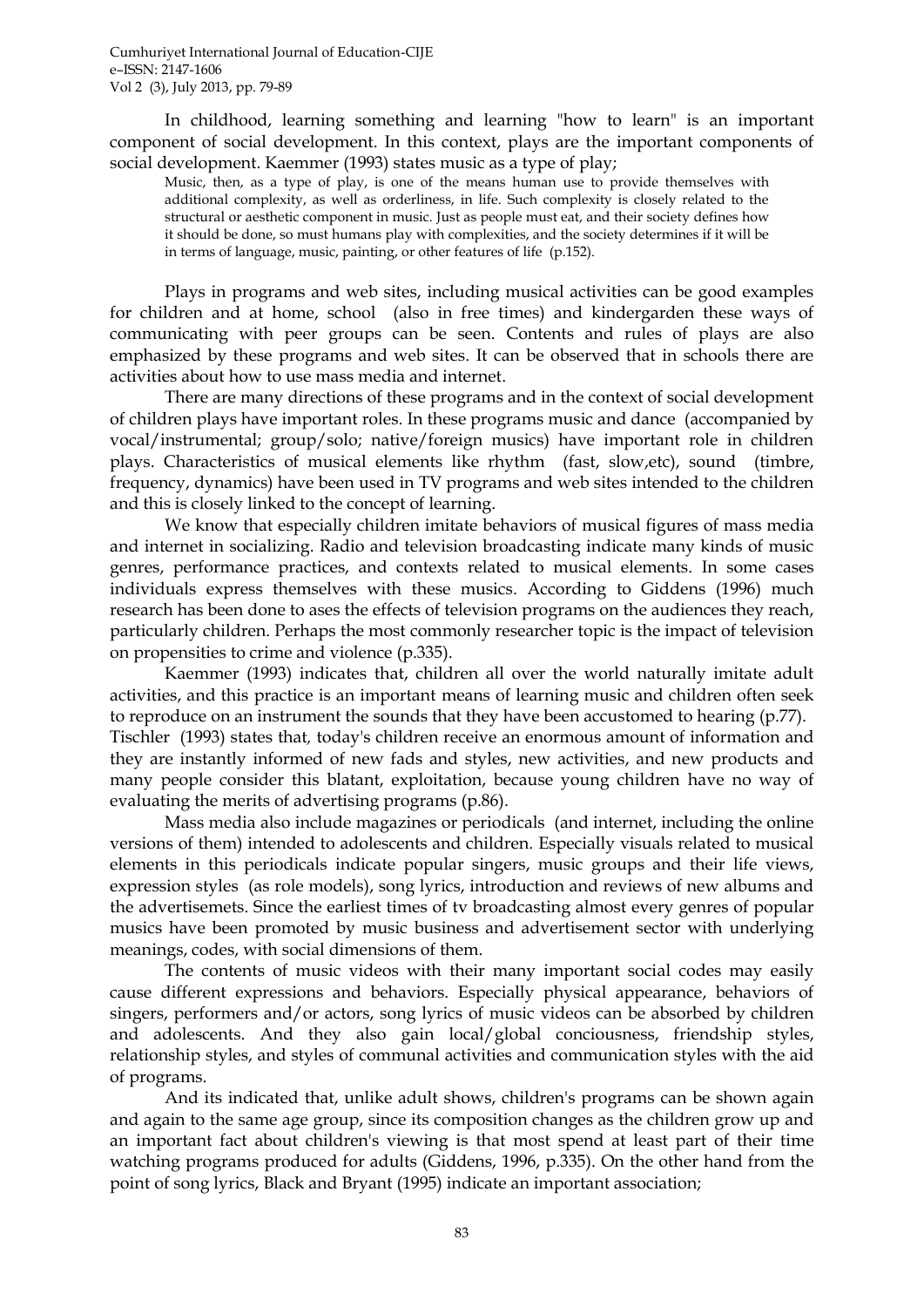In childhood, learning something and learning "how to learn" is an important component of social development. In this context, plays are the important components of social development. Kaemmer (1993) states music as a type of play;

Music, then, as a type of play, is one of the means human use to provide themselves with additional complexity, as well as orderliness, in life. Such complexity is closely related to the structural or aesthetic component in music. Just as people must eat, and their society defines how it should be done, so must humans play with complexities, and the society determines if it will be in terms of language, music, painting, or other features of life (p.152).

Plays in programs and web sites, including musical activities can be good examples for children and at home, school (also in free times) and kindergarden these ways of communicating with peer groups can be seen. Contents and rules of plays are also emphasized by these programs and web sites. It can be observed that in schools there are activities about how to use mass media and internet.

There are many directions of these programs and in the context of social development of children plays have important roles. In these programs music and dance (accompanied by vocal/instrumental; group/solo; native/foreign musics) have important role in children plays. Characteristics of musical elements like rhythm (fast, slow,etc), sound (timbre, frequency, dynamics) have been used in TV programs and web sites intended to the children and this is closely linked to the concept of learning.

We know that especially children imitate behaviors of musical figures of mass media and internet in socializing. Radio and television broadcasting indicate many kinds of music genres, performance practices, and contexts related to musical elements. In some cases individuals express themselves with these musics. According to Giddens (1996) much research has been done to ases the effects of television programs on the audiences they reach, particularly children. Perhaps the most commonly researcher topic is the impact of television on propensities to crime and violence (p.335).

Kaemmer (1993) indicates that, children all over the world naturally imitate adult activities, and this practice is an important means of learning music and children often seek to reproduce on an instrument the sounds that they have been accustomed to hearing (p.77). Tischler (1993) states that*,* today's children receive an enormous amount of information and they are instantly informed of new fads and styles, new activities, and new products and many people consider this blatant, exploitation, because young children have no way of evaluating the merits of advertising programs (p.86).

Mass media also include magazines or periodicals (and internet, including the online versions of them) intended to adolescents and children. Especially visuals related to musical elements in this periodicals indicate popular singers, music groups and their life views, expression styles (as role models), song lyrics, introduction and reviews of new albums and the advertisemets. Since the earliest times of tv broadcasting almost every genres of popular musics have been promoted by music business and advertisement sector with underlying meanings, codes, with social dimensions of them.

The contents of music videos with their many important social codes may easily cause different expressions and behaviors. Especially physical appearance, behaviors of singers, performers and/or actors, song lyrics of music videos can be absorbed by children and adolescents. And they also gain local/global conciousness, friendship styles, relationship styles, and styles of communal activities and communication styles with the aid of programs.

And its indicated that, unlike adult shows, children's programs can be shown again and again to the same age group, since its composition changes as the children grow up and an important fact about children's viewing is that most spend at least part of their time watching programs produced for adults (Giddens, 1996, p.335). On the other hand from the point of song lyrics, Black and Bryant (1995) indicate an important association;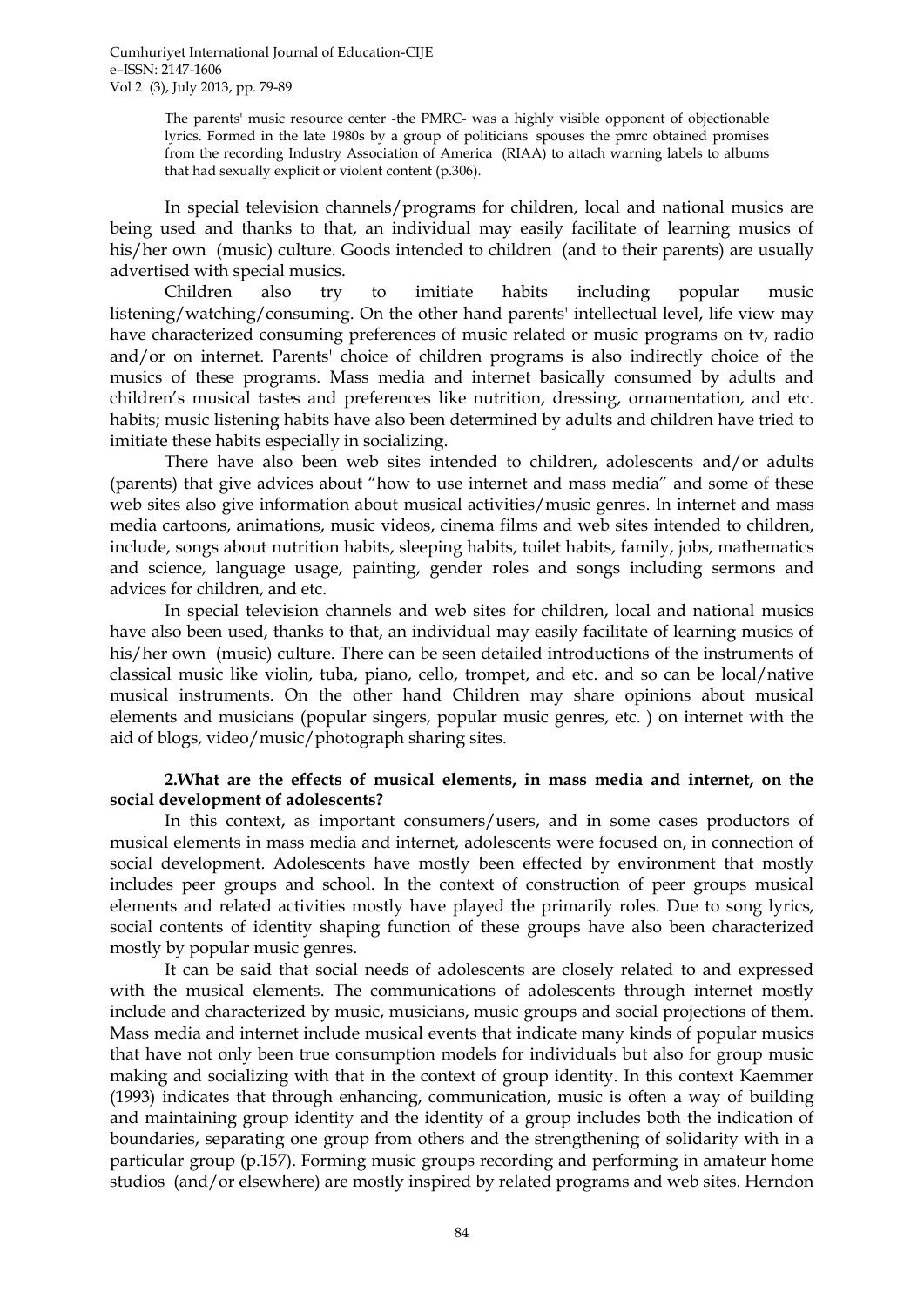The parents' music resource center -the PMRC- was a highly visible opponent of objectionable lyrics. Formed in the late 1980s by a group of politicians' spouses the pmrc obtained promises from the recording Industry Association of America (RIAA) to attach warning labels to albums that had sexually explicit or violent content (p.306).

In special television channels/programs for children, local and national musics are being used and thanks to that, an individual may easily facilitate of learning musics of his/her own (music) culture. Goods intended to children (and to their parents) are usually advertised with special musics.

Children also try to imitiate habits including popular music listening/watching/consuming. On the other hand parents' intellectual level, life view may have characterized consuming preferences of music related or music programs on tv, radio and/or on internet. Parents' choice of children programs is also indirectly choice of the musics of these programs. Mass media and internet basically consumed by adults and children"s musical tastes and preferences like nutrition, dressing, ornamentation, and etc. habits; music listening habits have also been determined by adults and children have tried to imitiate these habits especially in socializing.

There have also been web sites intended to children, adolescents and/or adults (parents) that give advices about "how to use internet and mass media" and some of these web sites also give information about musical activities/music genres. In internet and mass media cartoons, animations, music videos, cinema films and web sites intended to children, include, songs about nutrition habits, sleeping habits, toilet habits, family, jobs, mathematics and science, language usage, painting, gender roles and songs including sermons and advices for children, and etc.

In special television channels and web sites for children, local and national musics have also been used, thanks to that, an individual may easily facilitate of learning musics of his/her own (music) culture. There can be seen detailed introductions of the instruments of classical music like violin, tuba, piano, cello, trompet, and etc. and so can be local/native musical instruments. On the other hand Children may share opinions about musical elements and musicians (popular singers, popular music genres, etc. ) on internet with the aid of blogs, video/music/photograph sharing sites.

### **2.What are the effects of musical elements, in mass media and internet, on the social development of adolescents?**

In this context, as important consumers/users, and in some cases productors of musical elements in mass media and internet, adolescents were focused on, in connection of social development. Adolescents have mostly been effected by environment that mostly includes peer groups and school. In the context of construction of peer groups musical elements and related activities mostly have played the primarily roles. Due to song lyrics, social contents of identity shaping function of these groups have also been characterized mostly by popular music genres.

It can be said that social needs of adolescents are closely related to and expressed with the musical elements. The communications of adolescents through internet mostly include and characterized by music, musicians, music groups and social projections of them. Mass media and internet include musical events that indicate many kinds of popular musics that have not only been true consumption models for individuals but also for group music making and socializing with that in the context of group identity. In this context Kaemmer (1993) indicates that through enhancing, communication, music is often a way of building and maintaining group identity and the identity of a group includes both the indication of boundaries, separating one group from others and the strengthening of solidarity with in a particular group (p.157). Forming music groups recording and performing in amateur home studios (and/or elsewhere) are mostly inspired by related programs and web sites. Herndon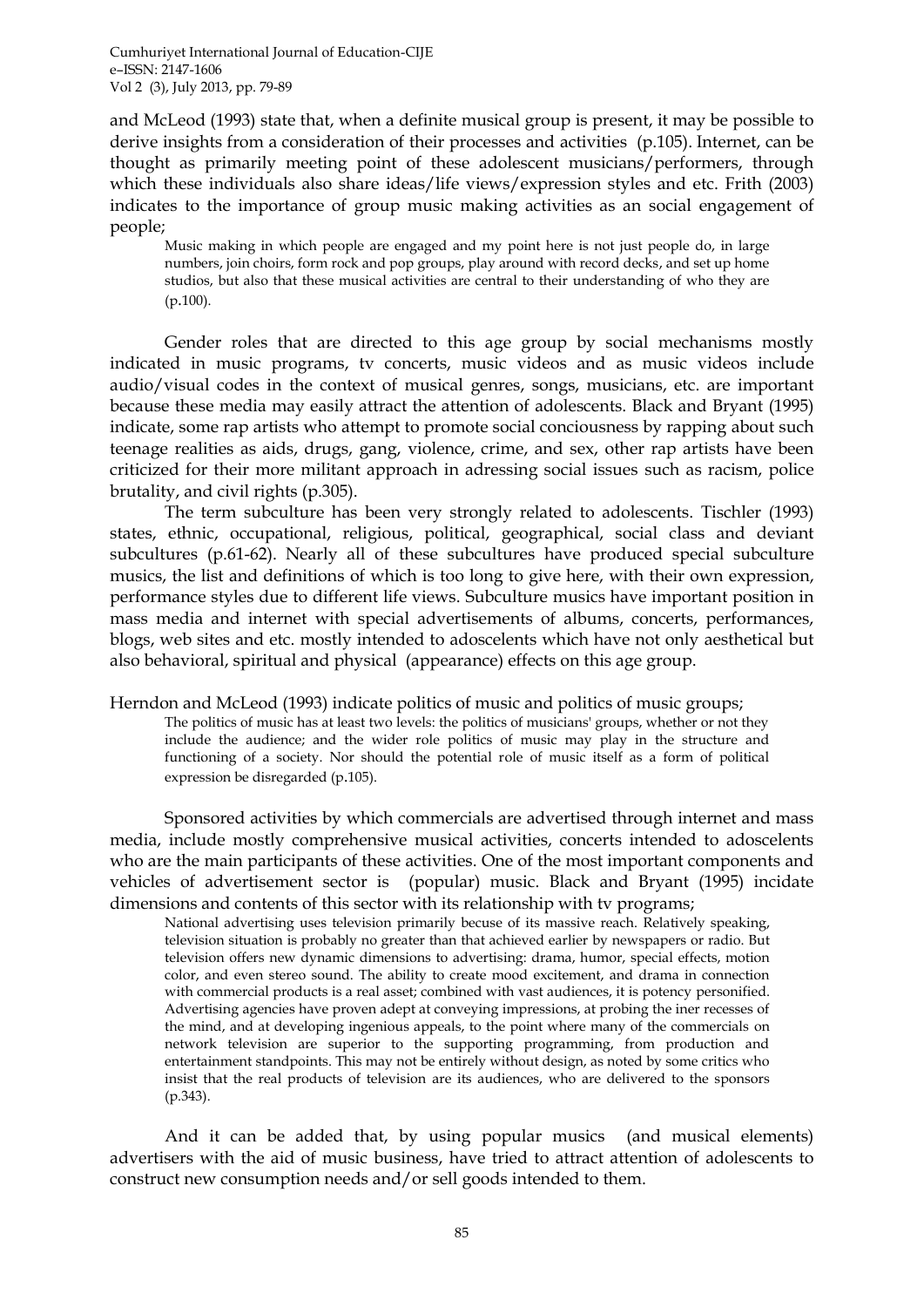and McLeod (1993) state that, when a definite musical group is present, it may be possible to derive insights from a consideration of their processes and activities (p.105). Internet, can be thought as primarily meeting point of these adolescent musicians/performers, through which these individuals also share ideas/life views/expression styles and etc. Frith (2003) indicates to the importance of group music making activities as an social engagement of people;

Music making in which people are engaged and my point here is not just people do, in large numbers, join choirs, form rock and pop groups, play around with record decks, and set up home studios, but also that these musical activities are central to their understanding of who they are (p.100).

Gender roles that are directed to this age group by social mechanisms mostly indicated in music programs, tv concerts, music videos and as music videos include audio/visual codes in the context of musical genres, songs, musicians, etc. are important because these media may easily attract the attention of adolescents. Black and Bryant (1995) indicate, some rap artists who attempt to promote social conciousness by rapping about such teenage realities as aids, drugs, gang, violence, crime, and sex, other rap artists have been criticized for their more militant approach in adressing social issues such as racism, police brutality, and civil rights (p.305).

The term subculture has been very strongly related to adolescents. Tischler (1993) states, ethnic, occupational, religious, political, geographical, social class and deviant subcultures (p.61-62). Nearly all of these subcultures have produced special subculture musics, the list and definitions of which is too long to give here, with their own expression, performance styles due to different life views. Subculture musics have important position in mass media and internet with special advertisements of albums, concerts, performances, blogs, web sites and etc. mostly intended to adoscelents which have not only aesthetical but also behavioral, spiritual and physical (appearance) effects on this age group.

Herndon and McLeod (1993) indicate politics of music and politics of music groups;

The politics of music has at least two levels: the politics of musicians' groups, whether or not they include the audience; and the wider role politics of music may play in the structure and functioning of a society. Nor should the potential role of music itself as a form of political expression be disregarded (p.105).

Sponsored activities by which commercials are advertised through internet and mass media, include mostly comprehensive musical activities, concerts intended to adoscelents who are the main participants of these activities. One of the most important components and vehicles of advertisement sector is (popular) music. Black and Bryant (1995) incidate dimensions and contents of this sector with its relationship with tv programs;

National advertising uses television primarily becuse of its massive reach. Relatively speaking, television situation is probably no greater than that achieved earlier by newspapers or radio. But television offers new dynamic dimensions to advertising: drama, humor, special effects, motion color, and even stereo sound. The ability to create mood excitement, and drama in connection with commercial products is a real asset; combined with vast audiences, it is potency personified. Advertising agencies have proven adept at conveying impressions, at probing the iner recesses of the mind, and at developing ingenious appeals, to the point where many of the commercials on network television are superior to the supporting programming, from production and entertainment standpoints. This may not be entirely without design, as noted by some critics who insist that the real products of television are its audiences, who are delivered to the sponsors (p.343).

And it can be added that, by using popular musics (and musical elements) advertisers with the aid of music business, have tried to attract attention of adolescents to construct new consumption needs and/or sell goods intended to them.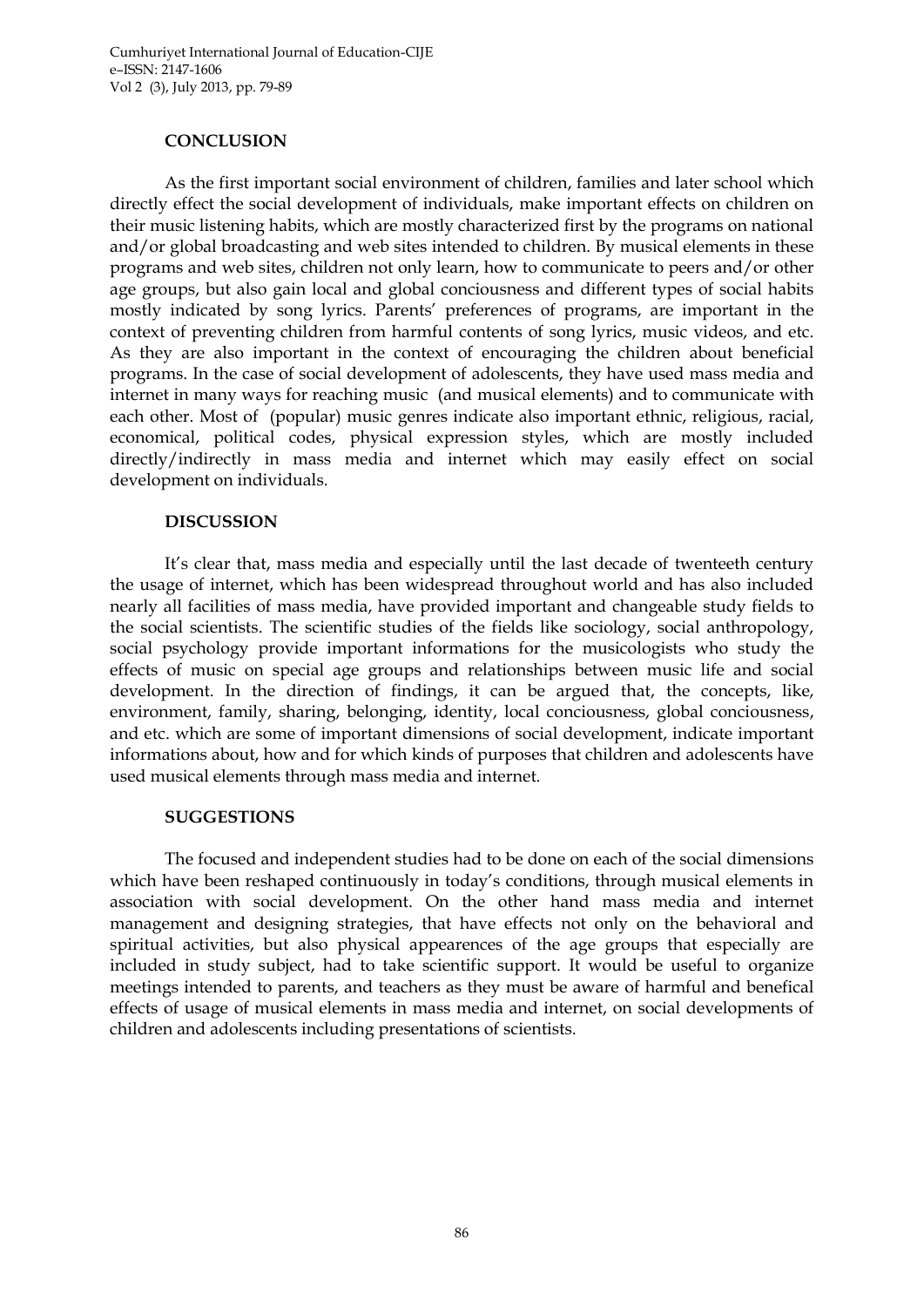### **CONCLUSION**

As the first important social environment of children, families and later school which directly effect the social development of individuals, make important effects on children on their music listening habits, which are mostly characterized first by the programs on national and/or global broadcasting and web sites intended to children. By musical elements in these programs and web sites, children not only learn, how to communicate to peers and/or other age groups, but also gain local and global conciousness and different types of social habits mostly indicated by song lyrics. Parents" preferences of programs, are important in the context of preventing children from harmful contents of song lyrics, music videos, and etc. As they are also important in the context of encouraging the children about beneficial programs. In the case of social development of adolescents, they have used mass media and internet in many ways for reaching music (and musical elements) and to communicate with each other. Most of (popular) music genres indicate also important ethnic, religious, racial, economical, political codes, physical expression styles, which are mostly included directly/indirectly in mass media and internet which may easily effect on social development on individuals.

### **DISCUSSION**

It's clear that, mass media and especially until the last decade of twenteeth century the usage of internet, which has been widespread throughout world and has also included nearly all facilities of mass media, have provided important and changeable study fields to the social scientists. The scientific studies of the fields like sociology, social anthropology, social psychology provide important informations for the musicologists who study the effects of music on special age groups and relationships between music life and social development. In the direction of findings, it can be argued that, the concepts, like, environment, family, sharing, belonging, identity, local conciousness, global conciousness, and etc. which are some of important dimensions of social development, indicate important informations about, how and for which kinds of purposes that children and adolescents have used musical elements through mass media and internet.

#### **SUGGESTIONS**

The focused and independent studies had to be done on each of the social dimensions which have been reshaped continuously in today"s conditions, through musical elements in association with social development. On the other hand mass media and internet management and designing strategies, that have effects not only on the behavioral and spiritual activities, but also physical appearences of the age groups that especially are included in study subject, had to take scientific support. It would be useful to organize meetings intended to parents, and teachers as they must be aware of harmful and benefical effects of usage of musical elements in mass media and internet, on social developments of children and adolescents including presentations of scientists.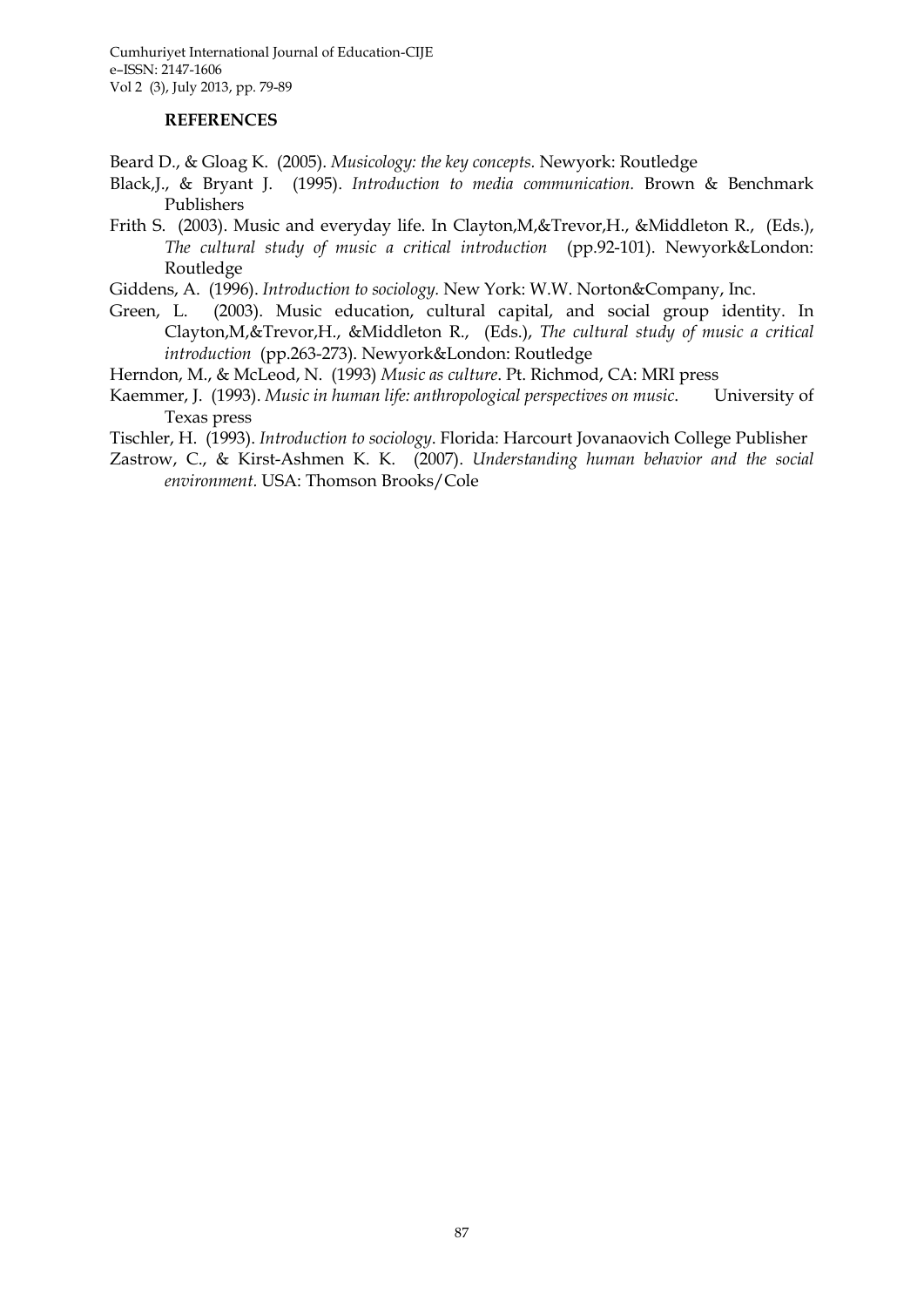#### **REFERENCES**

Beard D., & Gloag K. (2005). *Musicology: the key concepts.* Newyork: Routledge

- Black,J., & Bryant J. (1995). *Introduction to media communication.* Brown & Benchmark Publishers
- Frith S. (2003). Music and everyday life. In Clayton,M,&Trevor,H., &Middleton R., (Eds.), *The cultural study of music a critical introduction* (pp.92-101). Newyork&London: Routledge
- Giddens, A. (1996). *Introduction to sociology.* New York: W.W. Norton&Company, Inc.
- Green, L. (2003). Music education, cultural capital, and social group identity. In Clayton,M,&Trevor,H., &Middleton R., (Eds.), *The cultural study of music a critical introduction* (pp.263-273). Newyork&London: Routledge
- Herndon, M., & McLeod, N. (1993) *Music as culture*. Pt. Richmod, CA: MRI press
- Kaemmer, J. (1993). *Music in human life: anthropological perspectives on music*. University of Texas press
- Tischler, H. (1993). *Introduction to sociology*. Florida: Harcourt Jovanaovich College Publisher
- Zastrow, C., & Kirst-Ashmen K. K. (2007). *Understanding human behavior and the social environment.* USA: Thomson Brooks/Cole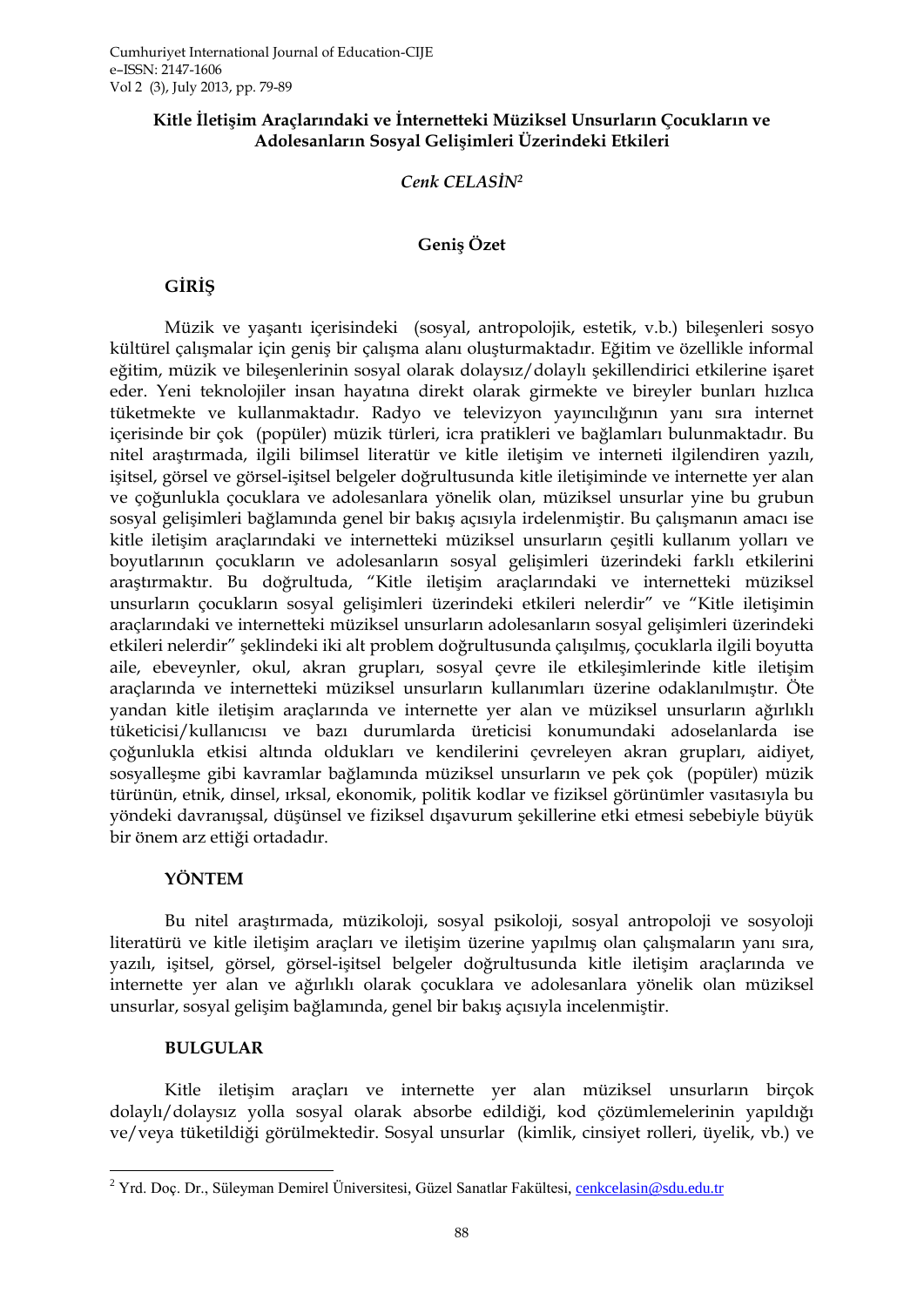## **Kitle İletişim Araçlarındaki ve İnternetteki Müziksel Unsurların Çocukların ve Adolesanların Sosyal Gelişimleri Üzerindeki Etkileri**

### *Cenk CELASİN<sup>2</sup>*

## **Geniş Özet**

# **GİRİŞ**

Müzik ve yaşantı içerisindeki (sosyal, antropolojik, estetik, v.b.) bileşenleri sosyo kültürel çalışmalar için geniş bir çalışma alanı oluşturmaktadır. Eğitim ve özellikle informal eğitim, müzik ve bileşenlerinin sosyal olarak dolaysız/dolaylı şekillendirici etkilerine işaret eder. Yeni teknolojiler insan hayatına direkt olarak girmekte ve bireyler bunları hızlıca tüketmekte ve kullanmaktadır. Radyo ve televizyon yayıncılığının yanı sıra internet içerisinde bir çok (popüler) müzik türleri, icra pratikleri ve bağlamları bulunmaktadır. Bu nitel araştırmada, ilgili bilimsel literatür ve kitle iletişim ve interneti ilgilendiren yazılı, işitsel, görsel ve görsel-işitsel belgeler doğrultusunda kitle iletişiminde ve internette yer alan ve çoğunlukla çocuklara ve adolesanlara yönelik olan, müziksel unsurlar yine bu grubun sosyal gelişimleri bağlamında genel bir bakış açısıyla irdelenmiştir. Bu çalışmanın amacı ise kitle iletişim araçlarındaki ve internetteki müziksel unsurların çeşitli kullanım yolları ve boyutlarının çocukların ve adolesanların sosyal gelişimleri üzerindeki farklı etkilerini araştırmaktır. Bu doğrultuda, "Kitle iletişim araçlarındaki ve internetteki müziksel unsurların çocukların sosyal gelişimleri üzerindeki etkileri nelerdir" ve "Kitle iletişimin araçlarındaki ve internetteki müziksel unsurların adolesanların sosyal gelişimleri üzerindeki etkileri nelerdir" şeklindeki iki alt problem doğrultusunda çalışılmış, çocuklarla ilgili boyutta aile, ebeveynler, okul, akran grupları, sosyal çevre ile etkileşimlerinde kitle iletişim araçlarında ve internetteki müziksel unsurların kullanımları üzerine odaklanılmıştır. Öte yandan kitle iletişim araçlarında ve internette yer alan ve müziksel unsurların ağırlıklı tüketicisi/kullanıcısı ve bazı durumlarda üreticisi konumundaki adoselanlarda ise çoğunlukla etkisi altında oldukları ve kendilerini çevreleyen akran grupları, aidiyet, sosyalleşme gibi kavramlar bağlamında müziksel unsurların ve pek çok (popüler) müzik türünün, etnik, dinsel, ırksal, ekonomik, politik kodlar ve fiziksel görünümler vasıtasıyla bu yöndeki davranışsal, düşünsel ve fiziksel dışavurum şekillerine etki etmesi sebebiyle büyük bir önem arz ettiği ortadadır.

## **YÖNTEM**

Bu nitel araştırmada, müzikoloji, sosyal psikoloji, sosyal antropoloji ve sosyoloji literatürü ve kitle iletişim araçları ve iletişim üzerine yapılmış olan çalışmaların yanı sıra, yazılı, işitsel, görsel, görsel-işitsel belgeler doğrultusunda kitle iletişim araçlarında ve internette yer alan ve ağırlıklı olarak çocuklara ve adolesanlara yönelik olan müziksel unsurlar, sosyal gelişim bağlamında, genel bir bakış açısıyla incelenmiştir.

## **BULGULAR**

Kitle iletişim araçları ve internette yer alan müziksel unsurların birçok dolaylı/dolaysız yolla sosyal olarak absorbe edildiği, kod çözümlemelerinin yapıldığı ve/veya tüketildiği görülmektedir. Sosyal unsurlar (kimlik, cinsiyet rolleri, üyelik, vb.) ve

<sup>1</sup> <sup>2</sup> Yrd. Doç. Dr., Süleyman Demirel Üniversitesi, Güzel Sanatlar Fakültesi, [cenkcelasin@sdu.edu.tr](mailto:cenkcelasin@sdu.edu.tr)